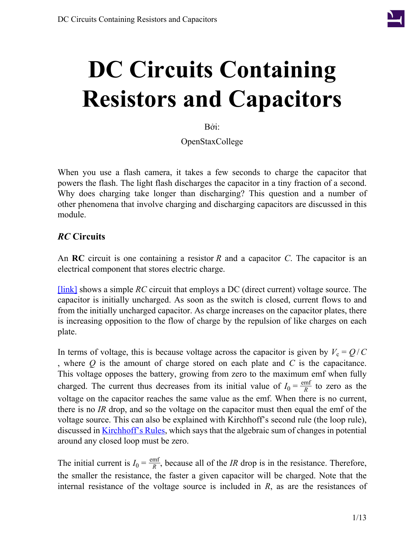

# **DC Circuits Containing Resistors and Capacitors**

Bởi:

OpenStaxCollege

When you use a flash camera, it takes a few seconds to charge the capacitor that powers the flash. The light flash discharges the capacitor in a tiny fraction of a second. Why does charging take longer than discharging? This question and a number of other phenomena that involve charging and discharging capacitors are discussed in this module.

# *RC* **Circuits**

An **RC** circuit is one containing a resistor *R* and a capacitor *C*. The capacitor is an electrical component that stores electric charge.

[\[link\]](#page-1-0) shows a simple *RC* circuit that employs a DC (direct current) voltage source. The capacitor is initially uncharged. As soon as the switch is closed, current flows to and from the initially uncharged capacitor. As charge increases on the capacitor plates, there is increasing opposition to the flow of charge by the repulsion of like charges on each plate.

In terms of voltage, this is because voltage across the capacitor is given by  $V_c = Q/C$ , where *Q* is the amount of charge stored on each plate and *C* is the capacitance. This voltage opposes the battery, growing from zero to the maximum emf when fully charged. The current thus decreases from its initial value of  $I_0 = \frac{emf}{R}$  $\frac{m}{R}$  to zero as the voltage on the capacitor reaches the same value as the emf. When there is no current, there is no *IR* drop, and so the voltage on the capacitor must then equal the emf of the voltage source. This can also be explained with Kirchhoff's second rule (the loop rule), discussed in **[Kirchhoff's](/m42359) Rules**, which says that the algebraic sum of changes in potential around any closed loop must be zero.

The initial current is  $I_0 = \frac{emf}{R}$  $\frac{m}{R}$ , because all of the *IR* drop is in the resistance. Therefore, the smaller the resistance, the faster a given capacitor will be charged. Note that the internal resistance of the voltage source is included in *R*, as are the resistances of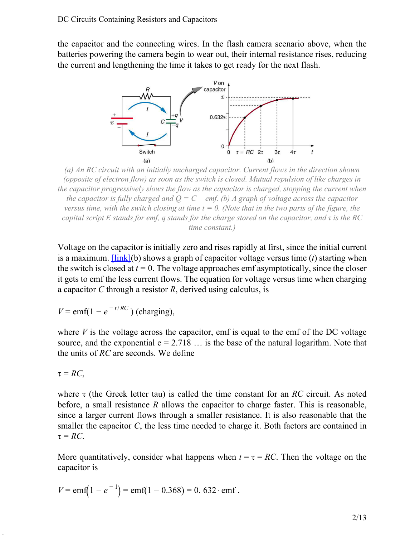<span id="page-1-0"></span>the capacitor and the connecting wires. In the flash camera scenario above, when the batteries powering the camera begin to wear out, their internal resistance rises, reducing the current and lengthening the time it takes to get ready for the next flash.



*(a) An RC circuit with an initially uncharged capacitor. Current flows in the direction shown (opposite of electron flow) as soon as the switch is closed. Mutual repulsion of like charges in the capacitor progressively slows the flow as the capacitor is charged, stopping the current when the capacitor is fully charged and Q = C emf. (b) A graph of voltage across the capacitor versus time, with the switch closing at time*  $t = 0$ . (Note that in the two parts of the figure, the *capital script E stands for emf, q stands for the charge stored on the capacitor, and τ is the RC time constant.)*

Voltage on the capacitor is initially zero and rises rapidly at first, since the initial current is a maximum. [\[link\]](#page-1-0)(b) shows a graph of capacitor voltage versus time (*t*) starting when the switch is closed at  $t = 0$ . The voltage approaches emf asymptotically, since the closer it gets to emf the less current flows. The equation for voltage versus time when charging a capacitor *C* through a resistor *R*, derived using calculus, is

 $V = \text{emf}(1 - e^{-t/RC})$  (charging),

where  $V$  is the voltage across the capacitor, emf is equal to the emf of the DC voltage source, and the exponential  $e = 2.718...$  is the base of the natural logarithm. Note that the units of *RC* are seconds. We define

 $\tau = RC$ ,

where τ (the Greek letter tau) is called the time constant for an *RC* circuit. As noted before, a small resistance *R* allows the capacitor to charge faster. This is reasonable, since a larger current flows through a smaller resistance. It is also reasonable that the smaller the capacitor *C*, the less time needed to charge it. Both factors are contained in  $\tau = RC$ .

More quantitatively, consider what happens when  $t = \tau = RC$ . Then the voltage on the capacitor is

$$
V = \text{emf}(1 - e^{-1}) = \text{emf}(1 - 0.368) = 0.632 \cdot \text{emf}.
$$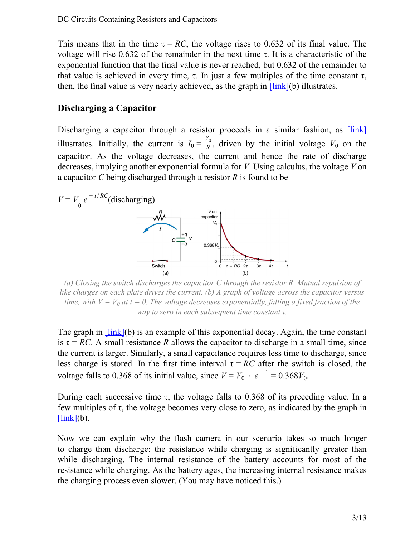This means that in the time  $\tau = RC$ , the voltage rises to 0.632 of its final value. The voltage will rise 0.632 of the remainder in the next time τ. It is a characteristic of the exponential function that the final value is never reached, but 0.632 of the remainder to that value is achieved in every time,  $\tau$ . In just a few multiples of the time constant  $\tau$ , then, the final value is very nearly achieved, as the graph in  $\frac{link}{b}$ ) illustrates.

#### **Discharging a Capacitor**

Discharging a capacitor through a resistor proceeds in a similar fashion, as [\[link\]](#page-2-0) illustrates. Initially, the current is  $I_0 = \frac{V_0}{R}$  $\frac{V_0}{R}$ , driven by the initial voltage  $V_0$  on the capacitor. As the voltage decreases, the current and hence the rate of discharge decreases, implying another exponential formula for *V*. Using calculus, the voltage *V* on a capacitor *C* being discharged through a resistor *R* is found to be

<span id="page-2-0"></span>

*(a) Closing the switch discharges the capacitor C through the resistor R. Mutual repulsion of like charges on each plate drives the current. (b) A graph of voltage across the capacitor versus time, with*  $V = V_0$  *at*  $t = 0$ . The voltage decreases exponentially, falling a fixed fraction of the *way to zero in each subsequent time constant τ.*

The graph in  $\frac{\text{link}}{\text{b}}$  is an example of this exponential decay. Again, the time constant is  $\tau = RC$ . A small resistance R allows the capacitor to discharge in a small time, since the current is larger. Similarly, a small capacitance requires less time to discharge, since less charge is stored. In the first time interval  $\tau = RC$  after the switch is closed, the voltage falls to 0.368 of its initial value, since  $V = V_0 \cdot e^{-1} = 0.368 V_0$ .

During each successive time τ, the voltage falls to 0.368 of its preceding value. In a few multiples of τ, the voltage becomes very close to zero, as indicated by the graph in  $[link](b)$  $[link](b)$ .

Now we can explain why the flash camera in our scenario takes so much longer to charge than discharge; the resistance while charging is significantly greater than while discharging. The internal resistance of the battery accounts for most of the resistance while charging. As the battery ages, the increasing internal resistance makes the charging process even slower. (You may have noticed this.)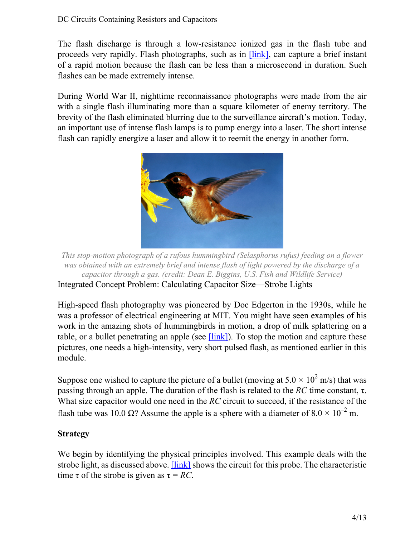The flash discharge is through a low-resistance ionized gas in the flash tube and proceeds very rapidly. Flash photographs, such as in [\[link\]](#page-3-0), can capture a brief instant of a rapid motion because the flash can be less than a microsecond in duration. Such flashes can be made extremely intense.

During World War II, nighttime reconnaissance photographs were made from the air with a single flash illuminating more than a square kilometer of enemy territory. The brevity of the flash eliminated blurring due to the surveillance aircraft's motion. Today, an important use of intense flash lamps is to pump energy into a laser. The short intense flash can rapidly energize a laser and allow it to reemit the energy in another form.

<span id="page-3-0"></span>

*This stop-motion photograph of a rufous hummingbird (Selasphorus rufus) feeding on a flower was obtained with an extremely brief and intense flash of light powered by the discharge of a capacitor through a gas. (credit: Dean E. Biggins, U.S. Fish and Wildlife Service)* Integrated Concept Problem: Calculating Capacitor Size—Strobe Lights

High-speed flash photography was pioneered by Doc Edgerton in the 1930s, while he was a professor of electrical engineering at MIT. You might have seen examples of his work in the amazing shots of hummingbirds in motion, a drop of milk splattering on a table, or a bullet penetrating an apple (see  $[\text{link}]$ ). To stop the motion and capture these pictures, one needs a high-intensity, very short pulsed flash, as mentioned earlier in this module.

Suppose one wished to capture the picture of a bullet (moving at  $5.0 \times 10^2$  m/s) that was passing through an apple. The duration of the flash is related to the *RC* time constant, τ. What size capacitor would one need in the *RC* circuit to succeed, if the resistance of the flash tube was 10.0  $\Omega$ ? Assume the apple is a sphere with a diameter of 8.0  $\times$  10<sup>-2</sup> m.

# **Strategy**

We begin by identifying the physical principles involved. This example deals with the strobe light, as discussed above. **[\[link\]](#page-2-0)** shows the circuit for this probe. The characteristic time  $\tau$  of the strobe is given as  $\tau = RC$ .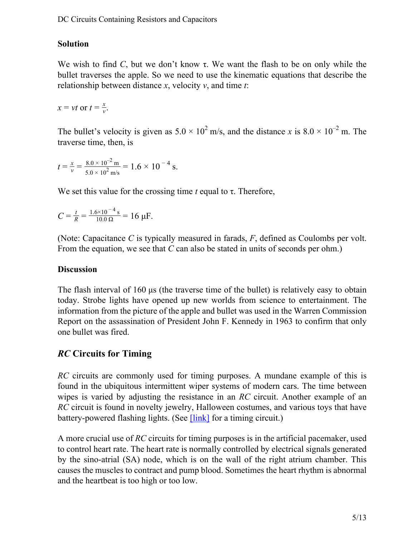# **Solution**

We wish to find *C*, but we don't know  $\tau$ . We want the flash to be on only while the bullet traverses the apple. So we need to use the kinematic equations that describe the relationship between distance *x*, velocity *v*, and time *t*:

 $x = vt$  or  $t = \frac{x}{v}$  $\frac{x}{v}$ .

The bullet's velocity is given as  $5.0 \times 10^2$  m/s, and the distance x is  $8.0 \times 10^{-2}$  m. The traverse time, then, is

$$
t = \frac{x}{v} = \frac{8.0 \times 10^{-2} \text{ m}}{5.0 \times 10^{2} \text{ m/s}} = 1.6 \times 10^{-4} \text{ s}.
$$

We set this value for the crossing time *t* equal to τ. Therefore,

$$
C = \frac{t}{R} = \frac{1.6 \times 10^{-4} \text{ s}}{10.0 \ \Omega} = 16 \ \mu\text{F}.
$$

(Note: Capacitance *C* is typically measured in farads, *F*, defined as Coulombs per volt. From the equation, we see that *C* can also be stated in units of seconds per ohm.)

#### **Discussion**

The flash interval of 160 μs (the traverse time of the bullet) is relatively easy to obtain today. Strobe lights have opened up new worlds from science to entertainment. The information from the picture of the apple and bullet was used in the Warren Commission Report on the assassination of President John F. Kennedy in 1963 to confirm that only one bullet was fired.

# *RC* **Circuits for Timing**

*RC* circuits are commonly used for timing purposes. A mundane example of this is found in the ubiquitous intermittent wiper systems of modern cars. The time between wipes is varied by adjusting the resistance in an *RC* circuit. Another example of an *RC* circuit is found in novelty jewelry, Halloween costumes, and various toys that have battery-powered flashing lights. (See *[\[link\]](#page-5-0)* for a timing circuit.)

A more crucial use of *RC* circuits for timing purposes is in the artificial pacemaker, used to control heart rate. The heart rate is normally controlled by electrical signals generated by the sino-atrial (SA) node, which is on the wall of the right atrium chamber. This causes the muscles to contract and pump blood. Sometimes the heart rhythm is abnormal and the heartbeat is too high or too low.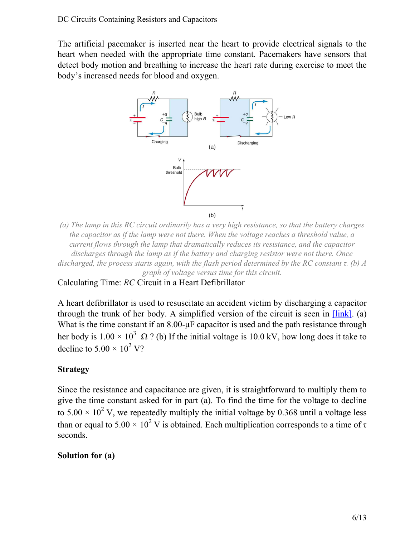<span id="page-5-0"></span>The artificial pacemaker is inserted near the heart to provide electrical signals to the heart when needed with the appropriate time constant. Pacemakers have sensors that detect body motion and breathing to increase the heart rate during exercise to meet the body's increased needs for blood and oxygen.



*(a) The lamp in this RC circuit ordinarily has a very high resistance, so that the battery charges the capacitor as if the lamp were not there. When the voltage reaches a threshold value, a current flows through the lamp that dramatically reduces its resistance, and the capacitor discharges through the lamp as if the battery and charging resistor were not there. Once discharged, the process starts again, with the flash period determined by the RC constant τ. (b) A graph of voltage versus time for this circuit.*

Calculating Time: *RC* Circuit in a Heart Defibrillator

A heart defibrillator is used to resuscitate an accident victim by discharging a capacitor through the trunk of her body. A simplified version of the circuit is seen in  $[link]$ . (a) What is the time constant if an 8.00-μF capacitor is used and the path resistance through her body is  $1.00 \times 10^3 \Omega$  ? (b) If the initial voltage is 10.0 kV, how long does it take to decline to  $5.00 \times 10^2$  V?

# **Strategy**

Since the resistance and capacitance are given, it is straightforward to multiply them to give the time constant asked for in part (a). To find the time for the voltage to decline to  $5.00 \times 10^2$  V, we repeatedly multiply the initial voltage by 0.368 until a voltage less than or equal to  $5.00 \times 10^2$  V is obtained. Each multiplication corresponds to a time of  $\tau$ seconds.

# **Solution for (a)**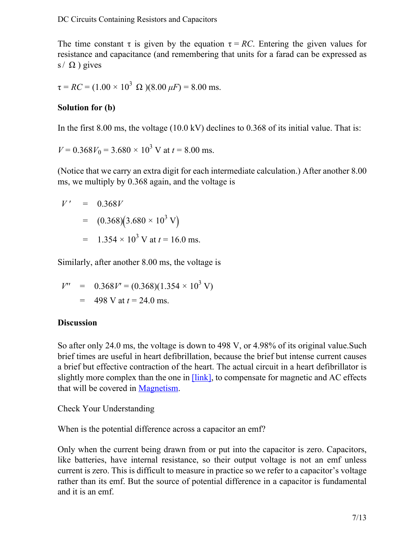The time constant  $\tau$  is given by the equation  $\tau = RC$ . Entering the given values for resistance and capacitance (and remembering that units for a farad can be expressed as s/ $\Omega$ ) gives

 $\tau = RC = (1.00 \times 10^3 \ \Omega) (8.00 \ \mu F) = 8.00 \ \text{ms}.$ 

#### **Solution for (b)**

In the first  $8.00 \text{ ms}$ , the voltage  $(10.0 \text{ kV})$  declines to  $0.368$  of its initial value. That is:

 $V = 0.368V_0 = 3.680 \times 10^3$  V at  $t = 8.00$  ms.

(Notice that we carry an extra digit for each intermediate calculation.) After another 8.00 ms, we multiply by 0.368 again, and the voltage is

$$
V' = 0.368V
$$
  
= (0.368)(3.680 × 10<sup>3</sup> V)  
= 1.354 × 10<sup>3</sup> V at t = 16.0 ms.

Similarly, after another 8.00 ms, the voltage is

$$
V'' = 0.368V' = (0.368)(1.354 \times 10^3 \text{ V})
$$
  
= 498 V at t = 24.0 ms.

#### **Discussion**

So after only 24.0 ms, the voltage is down to 498 V, or 4.98% of its original value.Such brief times are useful in heart defibrillation, because the brief but intense current causes a brief but effective contraction of the heart. The actual circuit in a heart defibrillator is slightly more complex than the one in [\[link\],](#page-2-0) to compensate for magnetic and AC effects that will be covered in [Magnetism](/m42365).

Check Your Understanding

When is the potential difference across a capacitor an emf?

Only when the current being drawn from or put into the capacitor is zero. Capacitors, like batteries, have internal resistance, so their output voltage is not an emf unless current is zero. This is difficult to measure in practice so we refer to a capacitor's voltage rather than its emf. But the source of potential difference in a capacitor is fundamental and it is an emf.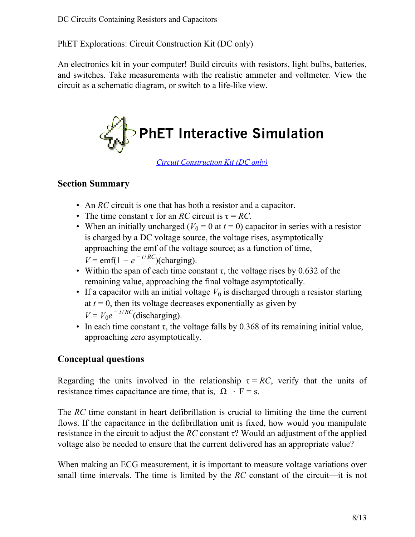# PhET Explorations: Circuit Construction Kit (DC only)

An electronics kit in your computer! Build circuits with resistors, light bulbs, batteries, and switches. Take measurements with the realistic ammeter and voltmeter. View the circuit as a schematic diagram, or switch to a life-like view.



*[Circuit Construction Kit \(DC only\)](/home/voer/vp/vp.transformer/src/vpt.transformer/vpt/transformer/transforms/20140123-024342-97c45801-1/circuit-construction-kit-dc_en.jar)*

# **Section Summary**

- An *RC* circuit is one that has both a resistor and a capacitor.
- The time constant  $\tau$  for an *RC* circuit is  $\tau = RC$ .
- When an initially uncharged  $(V_0 = 0$  at  $t = 0)$  capacitor in series with a resistor is charged by a DC voltage source, the voltage rises, asymptotically approaching the emf of the voltage source; as a function of time,  $V = \text{emf}(1 - e^{-t/RC})$ (charging).
- Within the span of each time constant  $\tau$ , the voltage rises by 0.632 of the remaining value, approaching the final voltage asymptotically.
- If a capacitor with an initial voltage  $V_0$  is discharged through a resistor starting at  $t = 0$ , then its voltage decreases exponentially as given by  $V = V_0 e^{-t/RC}$ (discharging).
- In each time constant  $\tau$ , the voltage falls by 0.368 of its remaining initial value, approaching zero asymptotically.

# **Conceptual questions**

Regarding the units involved in the relationship  $\tau = RC$ , verify that the units of resistance times capacitance are time, that is,  $\Omega \cdot F = s$ .

The *RC* time constant in heart defibrillation is crucial to limiting the time the current flows. If the capacitance in the defibrillation unit is fixed, how would you manipulate resistance in the circuit to adjust the *RC* constant  $\tau$ ? Would an adjustment of the applied voltage also be needed to ensure that the current delivered has an appropriate value?

When making an ECG measurement, it is important to measure voltage variations over small time intervals. The time is limited by the *RC* constant of the circuit—it is not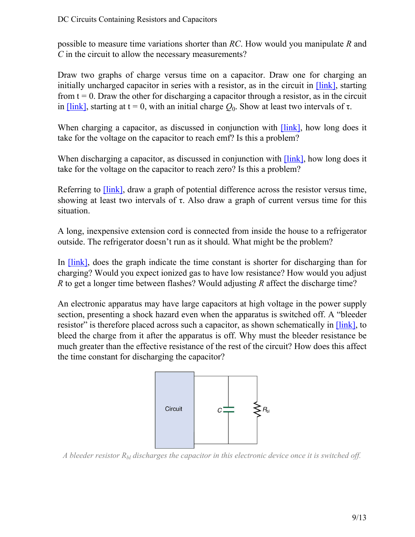possible to measure time variations shorter than *RC*. How would you manipulate *R* and *C* in the circuit to allow the necessary measurements?

Draw two graphs of charge versus time on a capacitor. Draw one for charging an initially uncharged capacitor in series with a resistor, as in the circuit in [\[link\]](#page-1-0), starting from  $t = 0$ . Draw the other for discharging a capacitor through a resistor, as in the circuit in [\[link\]](#page-2-0), starting at t = 0, with an initial charge  $Q_0$ . Show at least two intervals of  $\tau$ .

When charging a capacitor, as discussed in conjunction with *[\[link\]](#page-1-0)*, how long does it take for the voltage on the capacitor to reach emf? Is this a problem?

When discharging a capacitor, as discussed in conjunction with [\[link\],](#page-2-0) how long does it take for the voltage on the capacitor to reach zero? Is this a problem?

Referring to **[\[link\]](#page-1-0)**, draw a graph of potential difference across the resistor versus time, showing at least two intervals of  $\tau$ . Also draw a graph of current versus time for this situation.

A long, inexpensive extension cord is connected from inside the house to a refrigerator outside. The refrigerator doesn't run as it should. What might be the problem?

In [\[link\]](#page-5-0), does the graph indicate the time constant is shorter for discharging than for charging? Would you expect ionized gas to have low resistance? How would you adjust *R* to get a longer time between flashes? Would adjusting *R* affect the discharge time?

<span id="page-8-0"></span>An electronic apparatus may have large capacitors at high voltage in the power supply section, presenting a shock hazard even when the apparatus is switched off. A "bleeder resistor" is therefore placed across such a capacitor, as shown schematically in [\[link\],](#page-8-0) to bleed the charge from it after the apparatus is off. Why must the bleeder resistance be much greater than the effective resistance of the rest of the circuit? How does this affect the time constant for discharging the capacitor?



*A* bleeder resistor  $R_{bl}$  discharges the capacitor in this electronic device once it is switched off.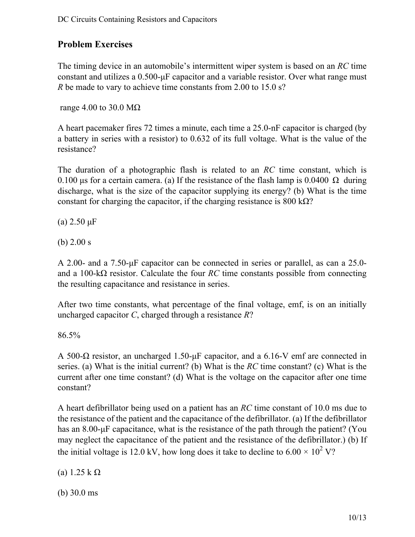# **Problem Exercises**

The timing device in an automobile's intermittent wiper system is based on an *RC* time constant and utilizes a 0.500-μF capacitor and a variable resistor. Over what range must *R* be made to vary to achieve time constants from 2.00 to 15.0 s?

range 4.00 to 30.0 M $\Omega$ 

A heart pacemaker fires 72 times a minute, each time a 25.0-nF capacitor is charged (by a battery in series with a resistor) to 0.632 of its full voltage. What is the value of the resistance?

The duration of a photographic flash is related to an *RC* time constant, which is 0.100 μs for a certain camera. (a) If the resistance of the flash lamp is 0.0400  $\Omega$  during discharge, what is the size of the capacitor supplying its energy? (b) What is the time constant for charging the capacitor, if the charging resistance is 800 k $\Omega$ ?

(a)  $2.50 \mu F$ 

(b) 2.00 s

A 2.00- and a 7.50-μF capacitor can be connected in series or parallel, as can a 25.0 and a 100-kΩ resistor. Calculate the four *RC* time constants possible from connecting the resulting capacitance and resistance in series.

After two time constants, what percentage of the final voltage, emf, is on an initially uncharged capacitor *C*, charged through a resistance *R*?

86.5%

A 500-Ω resistor, an uncharged 1.50-μF capacitor, and a 6.16-V emf are connected in series. (a) What is the initial current? (b) What is the *RC* time constant? (c) What is the current after one time constant? (d) What is the voltage on the capacitor after one time constant?

A heart defibrillator being used on a patient has an *RC* time constant of 10.0 ms due to the resistance of the patient and the capacitance of the defibrillator. (a) If the defibrillator has an 8.00-μF capacitance, what is the resistance of the path through the patient? (You may neglect the capacitance of the patient and the resistance of the defibrillator.) (b) If the initial voltage is 12.0 kV, how long does it take to decline to  $6.00 \times 10^2$  V?

(a) 1.25 k  $\Omega$ 

(b) 30.0 ms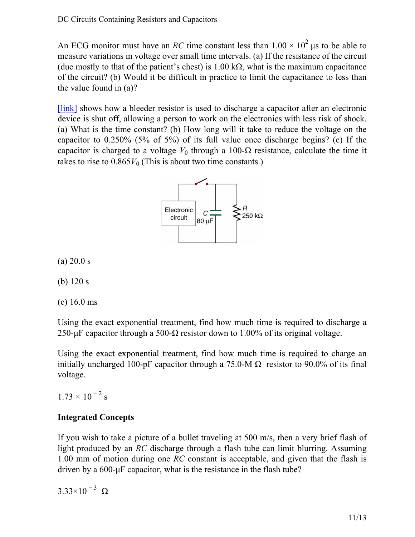An ECG monitor must have an *RC* time constant less than  $1.00 \times 10^2$  µs to be able to measure variations in voltage over small time intervals. (a) If the resistance of the circuit (due mostly to that of the patient's chest) is 1.00 kΩ, what is the maximum capacitance of the circuit? (b) Would it be difficult in practice to limit the capacitance to less than the value found in (a)?

<span id="page-10-0"></span>[\[link\]](#page-10-0) shows how a bleeder resistor is used to discharge a capacitor after an electronic device is shut off, allowing a person to work on the electronics with less risk of shock. (a) What is the time constant? (b) How long will it take to reduce the voltage on the capacitor to 0.250% (5% of 5%) of its full value once discharge begins? (c) If the capacitor is charged to a voltage  $V_0$  through a 100- $\Omega$  resistance, calculate the time it takes to rise to  $0.865V_0$  (This is about two time constants.)



- (a) 20.0 s
- (b) 120 s
- (c) 16.0 ms

Using the exact exponential treatment, find how much time is required to discharge a 250-μF capacitor through a 500-Ω resistor down to 1.00% of its original voltage.

Using the exact exponential treatment, find how much time is required to charge an initially uncharged 100-pF capacitor through a 75.0-M  $\Omega$  resistor to 90.0% of its final voltage.

 $1.73 \times 10^{-2}$  s

# **Integrated Concepts**

If you wish to take a picture of a bullet traveling at 500 m/s, then a very brief flash of light produced by an *RC* discharge through a flash tube can limit blurring. Assuming 1.00 mm of motion during one *RC* constant is acceptable, and given that the flash is driven by a 600-μF capacitor, what is the resistance in the flash tube?

 $3.33\times10^{-3} \Omega$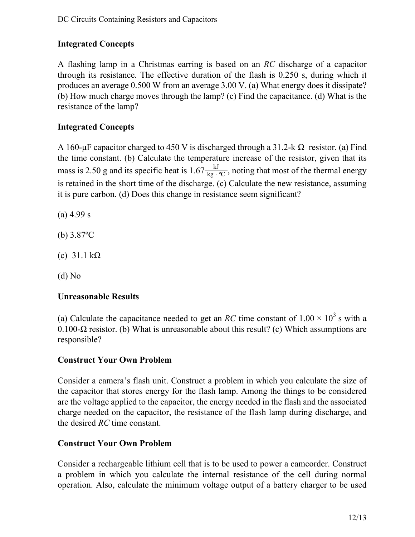# **Integrated Concepts**

A flashing lamp in a Christmas earring is based on an *RC* discharge of a capacitor through its resistance. The effective duration of the flash is 0.250 s, during which it produces an average 0.500 W from an average 3.00 V. (a) What energy does it dissipate? (b) How much charge moves through the lamp? (c) Find the capacitance. (d) What is the resistance of the lamp?

# **Integrated Concepts**

A 160-μF capacitor charged to 450 V is discharged through a 31.2-k  $\Omega$  resistor. (a) Find the time constant. (b) Calculate the temperature increase of the resistor, given that its mass is 2.50 g and its specific heat is 1.67 $\frac{kJ}{kg \cdot ^{\circ}C}$ , noting that most of the thermal energy is retained in the short time of the discharge. (c) Calculate the new resistance, assuming it is pure carbon. (d) Does this change in resistance seem significant?

(a) 4.99 s

(b) 3.87ºC

(c)  $31.1 \text{ k}\Omega$ 

(d) No

# **Unreasonable Results**

(a) Calculate the capacitance needed to get an *RC* time constant of  $1.00 \times 10^3$  s with a 0.100-Ω resistor. (b) What is unreasonable about this result? (c) Which assumptions are responsible?

# **Construct Your Own Problem**

Consider a camera's flash unit. Construct a problem in which you calculate the size of the capacitor that stores energy for the flash lamp. Among the things to be considered are the voltage applied to the capacitor, the energy needed in the flash and the associated charge needed on the capacitor, the resistance of the flash lamp during discharge, and the desired *RC* time constant.

# **Construct Your Own Problem**

Consider a rechargeable lithium cell that is to be used to power a camcorder. Construct a problem in which you calculate the internal resistance of the cell during normal operation. Also, calculate the minimum voltage output of a battery charger to be used